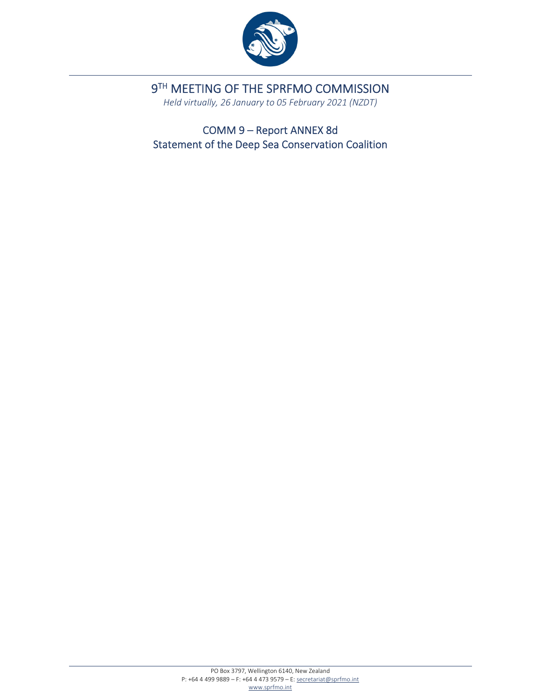

9TH MEETING OF THE SPRFMO COMMISSION

*Held virtually, 26 January to 05 February 2021 (NZDT)*

COMM 9 – Report ANNEX 8d Statement of the Deep Sea Conservation Coalition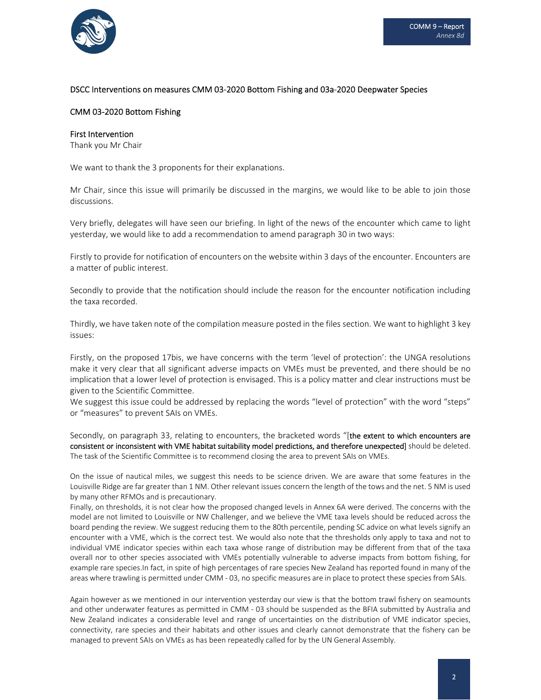

# DSCC Interventions on measures CMM 03‐2020 Bottom Fishing and 03a‐2020 Deepwater Species

## CMM 03‐2020 Bottom Fishing

#### First Intervention

Thank you Mr Chair

We want to thank the 3 proponents for their explanations.

Mr Chair, since this issue will primarily be discussed in the margins, we would like to be able to join those discussions.

Very briefly, delegates will have seen our briefing. In light of the news of the encounter which came to light yesterday, we would like to add a recommendation to amend paragraph 30 in two ways:

Firstly to provide for notification of encounters on the website within 3 days of the encounter. Encounters are a matter of public interest.

Secondly to provide that the notification should include the reason for the encounter notification including the taxa recorded.

Thirdly, we have taken note of the compilation measure posted in the files section. We want to highlight 3 key issues:

Firstly, on the proposed 17bis, we have concerns with the term 'level of protection': the UNGA resolutions make it very clear that all significant adverse impacts on VMEs must be prevented, and there should be no implication that a lower level of protection is envisaged. This is a policy matter and clear instructions must be given to the Scientific Committee.

We suggest this issue could be addressed by replacing the words "level of protection" with the word "steps" or "measures" to prevent SAIs on VMEs.

Secondly, on paragraph 33, relating to encounters, the bracketed words "[the extent to which encounters are consistent or inconsistent with VME habitat suitability model predictions, and therefore unexpected] should be deleted. The task of the Scientific Committee is to recommend closing the area to prevent SAIs on VMEs.

On the issue of nautical miles, we suggest this needs to be science driven. We are aware that some features in the Louisville Ridge are far greater than 1 NM. Other relevant issues concern the length of the tows and the net. 5 NM is used by many other RFMOs and is precautionary.

Finally, on thresholds, it is not clear how the proposed changed levels in Annex 6A were derived. The concerns with the model are not limited to Louisville or NW Challenger, and we believe the VME taxa levels should be reduced across the board pending the review. We suggest reducing them to the 80th percentile, pending SC advice on what levels signify an encounter with a VME, which is the correct test. We would also note that the thresholds only apply to taxa and not to individual VME indicator species within each taxa whose range of distribution may be different from that of the taxa overall nor to other species associated with VMEs potentially vulnerable to adverse impacts from bottom fishing, for example rare species.In fact, in spite of high percentages of rare species New Zealand has reported found in many of the areas where trawling is permitted under CMM ‐ 03, no specific measures are in place to protect these species from SAIs.

Again however as we mentioned in our intervention yesterday our view is that the bottom trawl fishery on seamounts and other underwater features as permitted in CMM ‐ 03 should be suspended as the BFIA submitted by Australia and New Zealand indicates a considerable level and range of uncertainties on the distribution of VME indicator species, connectivity, rare species and their habitats and other issues and clearly cannot demonstrate that the fishery can be managed to prevent SAIs on VMEs as has been repeatedly called for by the UN General Assembly.